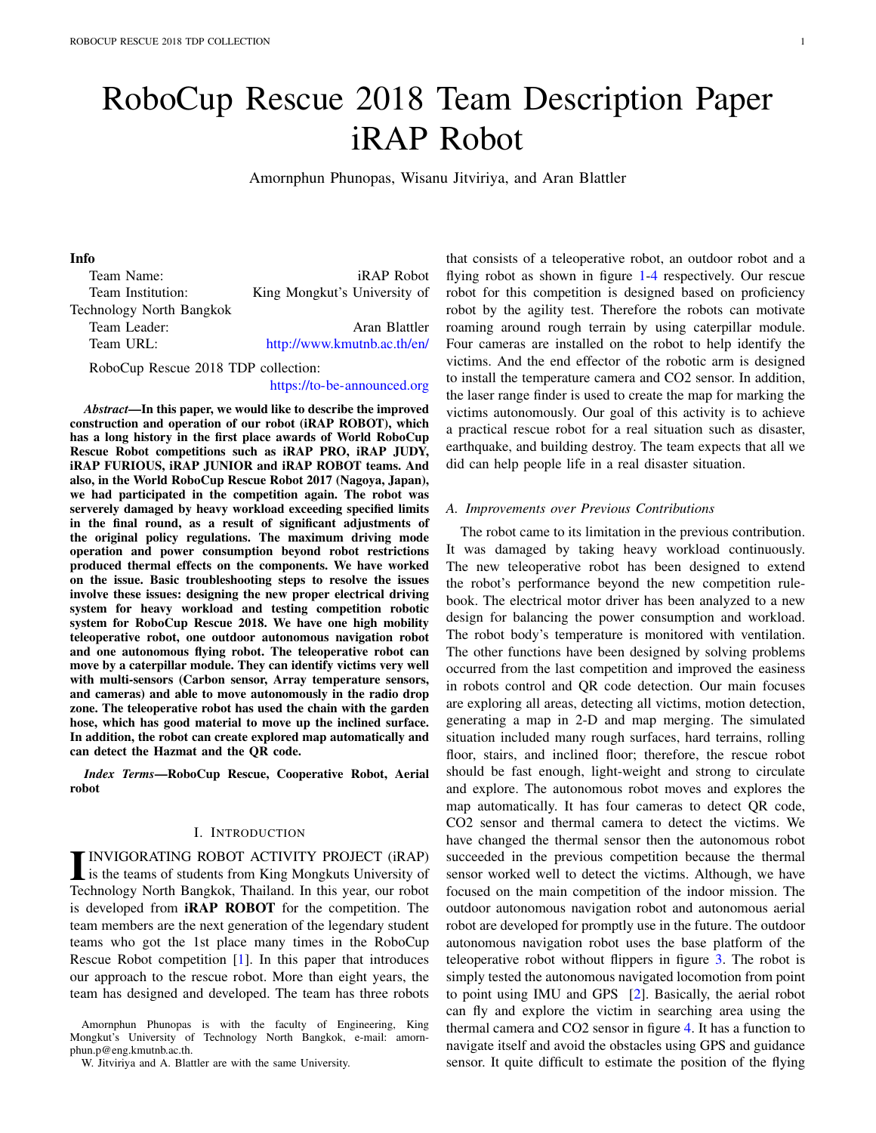# RoboCup Rescue 2018 Team Description Paper iRAP Robot

Amornphun Phunopas, Wisanu Jitviriya, and Aran Blattler

# Info

| Team Name:                          | <i>iRAP Robot</i>            |  |
|-------------------------------------|------------------------------|--|
| Team Institution:                   | King Mongkut's University of |  |
| Technology North Bangkok            |                              |  |
| Team Leader:                        | Aran Blattler                |  |
| Team URL:                           | http://www.kmutnb.ac.th/en/  |  |
| RoboCup Rescue 2018 TDP collection: |                              |  |

#### https://to-be-announced.org

*Abstract*—In this paper, we would like to describe the improved construction and operation of our robot (iRAP ROBOT), which has a long history in the first place awards of World RoboCup Rescue Robot competitions such as iRAP PRO, iRAP JUDY, iRAP FURIOUS, iRAP JUNIOR and iRAP ROBOT teams. And also, in the World RoboCup Rescue Robot 2017 (Nagoya, Japan), we had participated in the competition again. The robot was serverely damaged by heavy workload exceeding specified limits in the final round, as a result of significant adjustments of the original policy regulations. The maximum driving mode operation and power consumption beyond robot restrictions produced thermal effects on the components. We have worked on the issue. Basic troubleshooting steps to resolve the issues involve these issues: designing the new proper electrical driving system for heavy workload and testing competition robotic system for RoboCup Rescue 2018. We have one high mobility teleoperative robot, one outdoor autonomous navigation robot and one autonomous flying robot. The teleoperative robot can move by a caterpillar module. They can identify victims very well with multi-sensors (Carbon sensor, Array temperature sensors, and cameras) and able to move autonomously in the radio drop zone. The teleoperative robot has used the chain with the garden hose, which has good material to move up the inclined surface. In addition, the robot can create explored map automatically and can detect the Hazmat and the QR code.

*Index Terms*—RoboCup Rescue, Cooperative Robot, Aerial robot

#### I. INTRODUCTION

INVIGORATING ROBOT ACTIVITY PROJECT (iRAP)<br>is the teams of students from King Mongkuts University of<br>Technology North Bangkok, Theiland, In this was our rebet INVIGORATING ROBOT ACTIVITY PROJECT (iRAP) Technology North Bangkok, Thailand. In this year, our robot is developed from iRAP ROBOT for the competition. The team members are the next generation of the legendary student teams who got the 1st place many times in the RoboCup Rescue Robot competition [1]. In this paper that introduces our approach to the rescue robot. More than eight years, the team has designed and developed. The team has three robots

Amornphun Phunopas is with the faculty of Engineering, King Mongkut's University of Technology North Bangkok, e-mail: amornphun.p@eng.kmutnb.ac.th.

W. Jitviriya and A. Blattler are with the same University.

that consists of a teleoperative robot, an outdoor robot and a flying robot as shown in figure 1-4 respectively. Our rescue robot for this competition is designed based on proficiency robot by the agility test. Therefore the robots can motivate roaming around rough terrain by using caterpillar module. Four cameras are installed on the robot to help identify the victims. And the end effector of the robotic arm is designed to install the temperature camera and CO2 sensor. In addition, the laser range finder is used to create the map for marking the victims autonomously. Our goal of this activity is to achieve a practical rescue robot for a real situation such as disaster, earthquake, and building destroy. The team expects that all we did can help people life in a real disaster situation.

#### *A. Improvements over Previous Contributions*

The robot came to its limitation in the previous contribution. It was damaged by taking heavy workload continuously. The new teleoperative robot has been designed to extend the robot's performance beyond the new competition rulebook. The electrical motor driver has been analyzed to a new design for balancing the power consumption and workload. The robot body's temperature is monitored with ventilation. The other functions have been designed by solving problems occurred from the last competition and improved the easiness in robots control and QR code detection. Our main focuses are exploring all areas, detecting all victims, motion detection, generating a map in 2-D and map merging. The simulated situation included many rough surfaces, hard terrains, rolling floor, stairs, and inclined floor; therefore, the rescue robot should be fast enough, light-weight and strong to circulate and explore. The autonomous robot moves and explores the map automatically. It has four cameras to detect QR code, CO2 sensor and thermal camera to detect the victims. We have changed the thermal sensor then the autonomous robot succeeded in the previous competition because the thermal sensor worked well to detect the victims. Although, we have focused on the main competition of the indoor mission. The outdoor autonomous navigation robot and autonomous aerial robot are developed for promptly use in the future. The outdoor autonomous navigation robot uses the base platform of the teleoperative robot without flippers in figure 3. The robot is simply tested the autonomous navigated locomotion from point to point using IMU and GPS [2]. Basically, the aerial robot can fly and explore the victim in searching area using the thermal camera and CO2 sensor in figure 4. It has a function to navigate itself and avoid the obstacles using GPS and guidance sensor. It quite difficult to estimate the position of the flying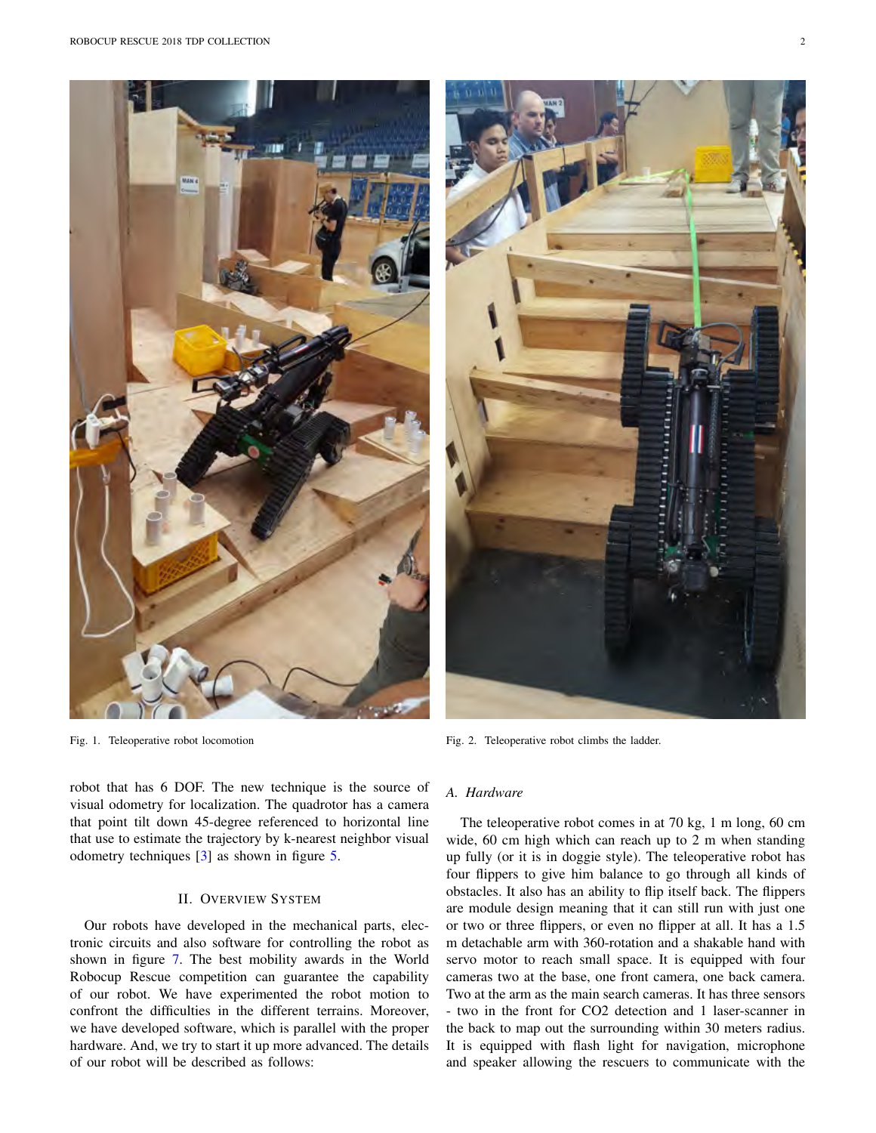



Fig. 2. Teleoperative robot climbs the ladder.

robot that has 6 DOF. The new technique is the source of visual odometry for localization. The quadrotor has a camera that point tilt down 45-degree referenced to horizontal line that use to estimate the trajectory by k-nearest neighbor visual odometry techniques [3] as shown in figure 5.

#### II. OVERVIEW SYSTEM

Our robots have developed in the mechanical parts, electronic circuits and also software for controlling the robot as shown in figure 7. The best mobility awards in the World Robocup Rescue competition can guarantee the capability of our robot. We have experimented the robot motion to confront the difficulties in the different terrains. Moreover, we have developed software, which is parallel with the proper hardware. And, we try to start it up more advanced. The details of our robot will be described as follows:

#### *A. Hardware*

The teleoperative robot comes in at 70 kg, 1 m long, 60 cm wide, 60 cm high which can reach up to 2 m when standing up fully (or it is in doggie style). The teleoperative robot has four flippers to give him balance to go through all kinds of obstacles. It also has an ability to flip itself back. The flippers are module design meaning that it can still run with just one or two or three flippers, or even no flipper at all. It has a 1.5 m detachable arm with 360-rotation and a shakable hand with servo motor to reach small space. It is equipped with four cameras two at the base, one front camera, one back camera. Two at the arm as the main search cameras. It has three sensors - two in the front for CO2 detection and 1 laser-scanner in the back to map out the surrounding within 30 meters radius. It is equipped with flash light for navigation, microphone and speaker allowing the rescuers to communicate with the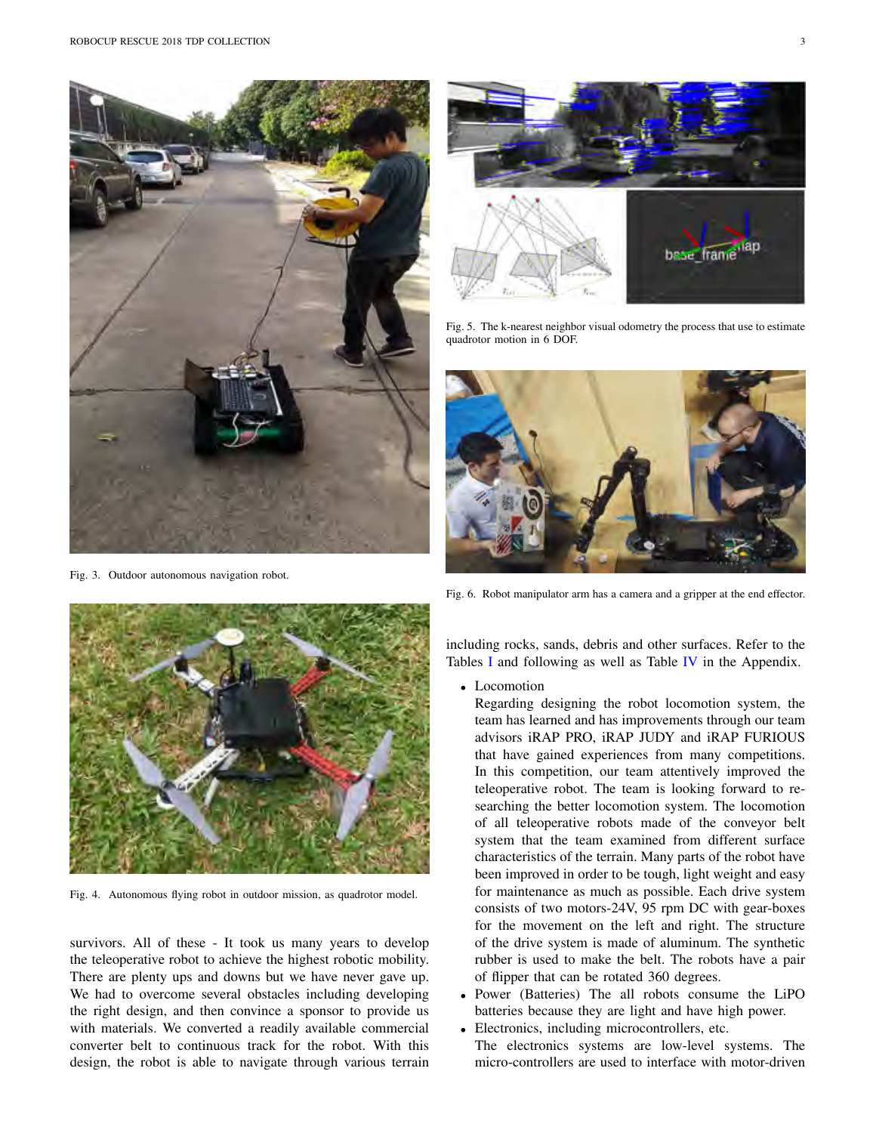

Fig. 3. Outdoor autonomous navigation robot.



Fig. 5. The k-nearest neighbor visual odometry the process that use to estimate quadrotor motion in 6 DOF.







Fig. 4. Autonomous flying robot in outdoor mission, as quadrotor model.

survivors. All of these - It took us many years to develop the teleoperative robot to achieve the highest robotic mobility. There are plenty ups and downs but we have never gave up. We had to overcome several obstacles including developing the right design, and then convince a sponsor to provide us with materials. We converted a readily available commercial converter belt to continuous track for the robot. With this design, the robot is able to navigate through various terrain

including rocks, sands, debris and other surfaces. Refer to the Tables I and following as well as Table IV in the Appendix.

- *•* Locomotion
	- Regarding designing the robot locomotion system, the team has learned and has improvements through our team advisors iRAP PRO, iRAP JUDY and iRAP FURIOUS that have gained experiences from many competitions. In this competition, our team attentively improved the teleoperative robot. The team is looking forward to researching the better locomotion system. The locomotion of all teleoperative robots made of the conveyor belt system that the team examined from different surface characteristics of the terrain. Many parts of the robot have been improved in order to be tough, light weight and easy for maintenance as much as possible. Each drive system consists of two motors-24V, 95 rpm DC with gear-boxes for the movement on the left and right. The structure of the drive system is made of aluminum. The synthetic rubber is used to make the belt. The robots have a pair of flipper that can be rotated 360 degrees.
- *•* Power (Batteries) The all robots consume the LiPO batteries because they are light and have high power.
- *•* Electronics, including microcontrollers, etc. The electronics systems are low-level systems. The micro-controllers are used to interface with motor-driven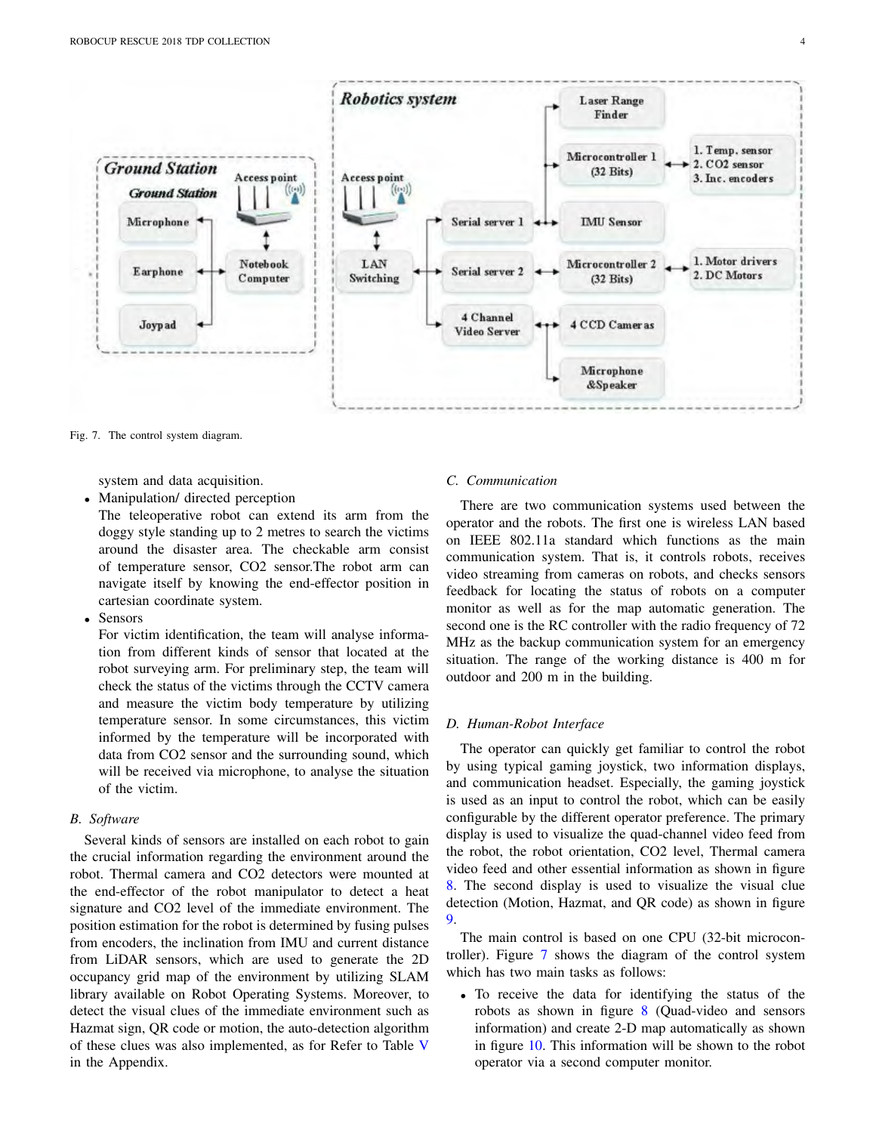

Fig. 7. The control system diagram.

system and data acquisition.

*•* Manipulation/ directed perception

The teleoperative robot can extend its arm from the doggy style standing up to 2 metres to search the victims around the disaster area. The checkable arm consist of temperature sensor, CO2 sensor.The robot arm can navigate itself by knowing the end-effector position in cartesian coordinate system.

*•* Sensors

For victim identification, the team will analyse information from different kinds of sensor that located at the robot surveying arm. For preliminary step, the team will check the status of the victims through the CCTV camera and measure the victim body temperature by utilizing temperature sensor. In some circumstances, this victim informed by the temperature will be incorporated with data from CO2 sensor and the surrounding sound, which will be received via microphone, to analyse the situation of the victim.

## *B. Software*

Several kinds of sensors are installed on each robot to gain the crucial information regarding the environment around the robot. Thermal camera and CO2 detectors were mounted at the end-effector of the robot manipulator to detect a heat signature and CO2 level of the immediate environment. The position estimation for the robot is determined by fusing pulses from encoders, the inclination from IMU and current distance from LiDAR sensors, which are used to generate the 2D occupancy grid map of the environment by utilizing SLAM library available on Robot Operating Systems. Moreover, to detect the visual clues of the immediate environment such as Hazmat sign, QR code or motion, the auto-detection algorithm of these clues was also implemented, as for Refer to Table V in the Appendix.

# *C. Communication*

There are two communication systems used between the operator and the robots. The first one is wireless LAN based on IEEE 802.11a standard which functions as the main communication system. That is, it controls robots, receives video streaming from cameras on robots, and checks sensors feedback for locating the status of robots on a computer monitor as well as for the map automatic generation. The second one is the RC controller with the radio frequency of 72 MHz as the backup communication system for an emergency situation. The range of the working distance is 400 m for outdoor and 200 m in the building.

#### *D. Human-Robot Interface*

The operator can quickly get familiar to control the robot by using typical gaming joystick, two information displays, and communication headset. Especially, the gaming joystick is used as an input to control the robot, which can be easily configurable by the different operator preference. The primary display is used to visualize the quad-channel video feed from the robot, the robot orientation, CO2 level, Thermal camera video feed and other essential information as shown in figure 8. The second display is used to visualize the visual clue detection (Motion, Hazmat, and QR code) as shown in figure 9.

The main control is based on one CPU (32-bit microcontroller). Figure 7 shows the diagram of the control system which has two main tasks as follows:

*•* To receive the data for identifying the status of the robots as shown in figure 8 (Quad-video and sensors information) and create 2-D map automatically as shown in figure 10. This information will be shown to the robot operator via a second computer monitor.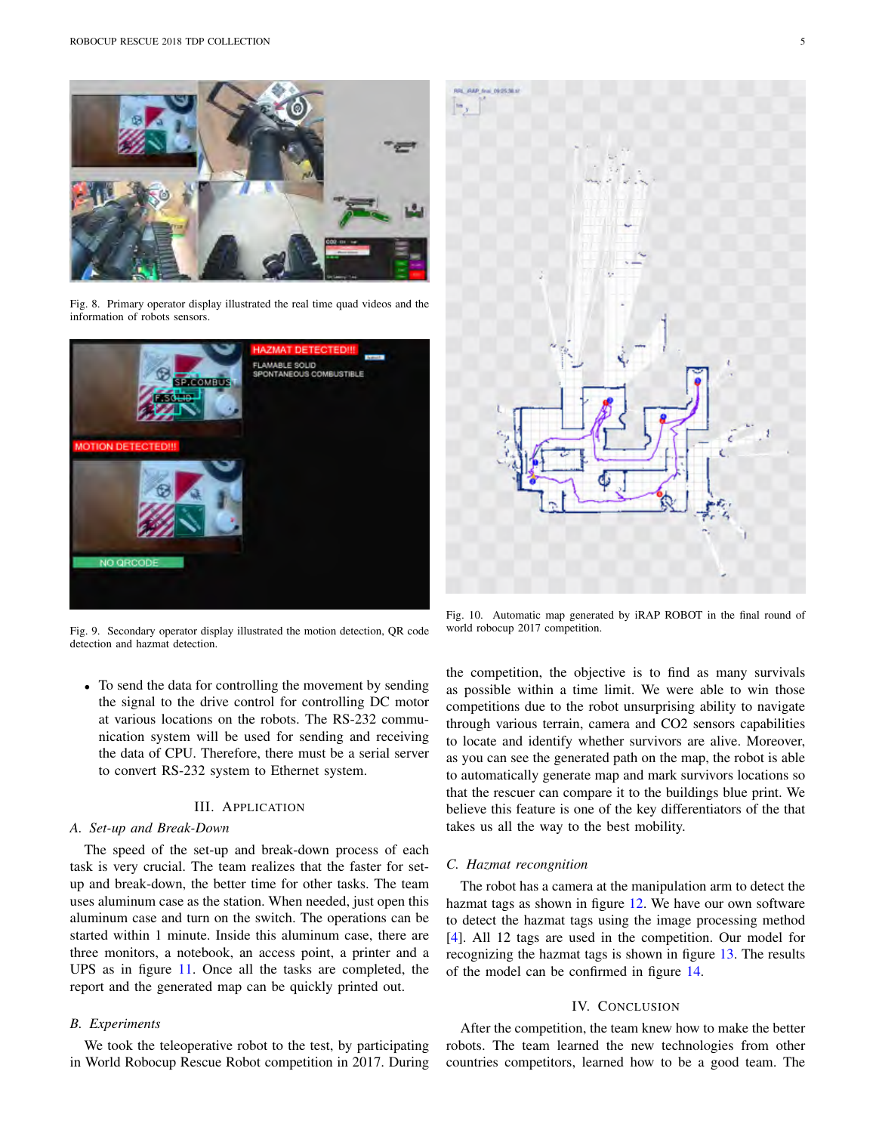

Fig. 8. Primary operator display illustrated the real time quad videos and the information of robots sensors.



Fig. 9. Secondary operator display illustrated the motion detection, QR code detection and hazmat detection.

*•* To send the data for controlling the movement by sending the signal to the drive control for controlling DC motor at various locations on the robots. The RS-232 communication system will be used for sending and receiving the data of CPU. Therefore, there must be a serial server to convert RS-232 system to Ethernet system.

#### III. APPLICATION

#### *A. Set-up and Break-Down*

The speed of the set-up and break-down process of each task is very crucial. The team realizes that the faster for setup and break-down, the better time for other tasks. The team uses aluminum case as the station. When needed, just open this aluminum case and turn on the switch. The operations can be started within 1 minute. Inside this aluminum case, there are three monitors, a notebook, an access point, a printer and a UPS as in figure 11. Once all the tasks are completed, the report and the generated map can be quickly printed out.

#### *B. Experiments*

We took the teleoperative robot to the test, by participating in World Robocup Rescue Robot competition in 2017. During



Fig. 10. Automatic map generated by iRAP ROBOT in the final round of world robocup 2017 competition.

the competition, the objective is to find as many survivals as possible within a time limit. We were able to win those competitions due to the robot unsurprising ability to navigate through various terrain, camera and CO2 sensors capabilities to locate and identify whether survivors are alive. Moreover, as you can see the generated path on the map, the robot is able to automatically generate map and mark survivors locations so that the rescuer can compare it to the buildings blue print. We believe this feature is one of the key differentiators of the that takes us all the way to the best mobility.

#### *C. Hazmat recongnition*

The robot has a camera at the manipulation arm to detect the hazmat tags as shown in figure 12. We have our own software to detect the hazmat tags using the image processing method [4]. All 12 tags are used in the competition. Our model for recognizing the hazmat tags is shown in figure 13. The results of the model can be confirmed in figure 14.

#### IV. CONCLUSION

After the competition, the team knew how to make the better robots. The team learned the new technologies from other countries competitors, learned how to be a good team. The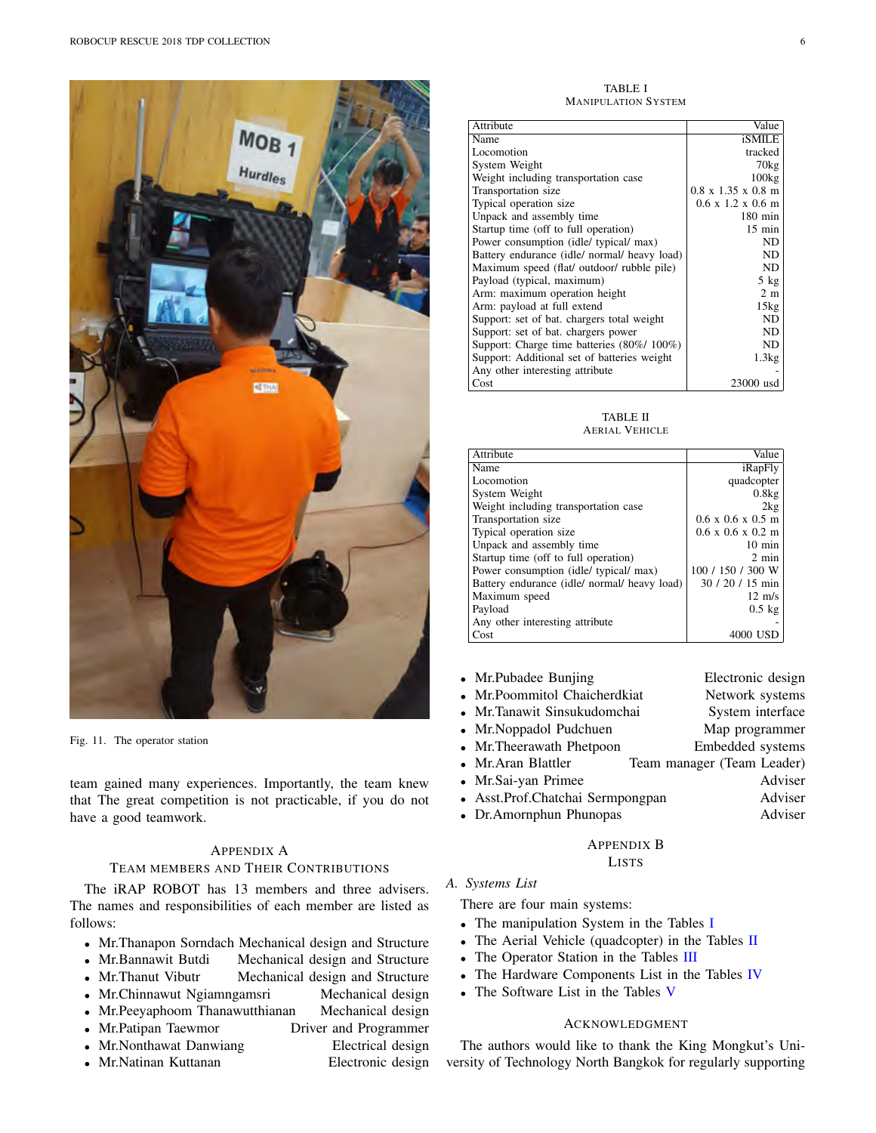

Fig. 11. The operator station

team gained many experiences. Importantly, the team knew that The great competition is not practicable, if you do not have a good teamwork.

# APPENDIX A

### TEAM MEMBERS AND THEIR CONTRIBUTIONS

The iRAP ROBOT has 13 members and three advisers. The names and responsibilities of each member are listed as follows:

- Mr.Thanapon Sorndach Mechanical design and Structure<br>• Mr.Bannawit Butdi Mechanical design and Structure
- **Mechanical design and Structure**
- Mr. Thanut Vibutr Mechanical design and Structure
- Mr.Chinnawut Ngiamngamsri Mechanical design
- *•* Mr.Peeyaphoom Thanawutthianan Mechanical design
- Mr.Patipan Taewmor Driver and Programmer
- Mr.Nonthawat Danwiang **Electrical design**
- *•* Mr.Natinan Kuttanan Electronic design
- 

TABLE I MANIPULATION SYSTEM

| Attribute                                    | Value                                  |
|----------------------------------------------|----------------------------------------|
| Name                                         | iSMILE                                 |
| Locomotion                                   | tracked                                |
| System Weight                                | $70\text{kg}$                          |
| Weight including transportation case         | 100kg                                  |
| Transportation size                          | $0.8 \times 1.35 \times 0.8 \text{ m}$ |
| Typical operation size                       | $0.6 \times 1.2 \times 0.6$ m          |
| Unpack and assembly time                     | $180 \text{ min}$                      |
| Startup time (off to full operation)         | $15 \text{ min}$                       |
| Power consumption (idle/ typical/ max)       | ND                                     |
| Battery endurance (idle/ normal/ heavy load) | ND.                                    |
| Maximum speed (flat/ outdoor/ rubble pile)   | ND.                                    |
| Payload (typical, maximum)                   | $5$ kg                                 |
| Arm: maximum operation height                | 2 <sub>m</sub>                         |
| Arm: payload at full extend                  | 15kg                                   |
| Support: set of bat. chargers total weight   | ND                                     |
| Support: set of bat. chargers power          | ND.                                    |
| Support: Charge time batteries (80%/100%)    | ND.                                    |
| Support: Additional set of batteries weight  | 1.3kg                                  |
| Any other interesting attribute              |                                        |
| Cost                                         | 23000 usd                              |

TABLE II AERIAL VEHICLE

| Attribute                                    | Value                                 |
|----------------------------------------------|---------------------------------------|
| Name                                         | iRapFly                               |
| Locomotion                                   | quadcopter                            |
| System Weight                                | 0.8kg                                 |
| Weight including transportation case         | 2kg                                   |
| Transportation size                          | $0.6 \times 0.6 \times 0.5 \text{ m}$ |
| Typical operation size                       | $0.6 \times 0.6 \times 0.2 \text{ m}$ |
| Unpack and assembly time                     | $10 \text{ min}$                      |
| Startup time (off to full operation)         | $2 \text{ min}$                       |
| Power consumption (idle/ typical/ max)       | 100 / 150 / 300 W                     |
| Battery endurance (idle/ normal/ heavy load) | $30/20/15$ min                        |
| Maximum speed                                | $12 \text{ m/s}$                      |
| Payload                                      | $0.5$ kg                              |
| Any other interesting attribute              |                                       |
| Cost                                         | 4000 USE                              |

| • Mr.Pubadee Bunjing             |                            | Electronic design |         |
|----------------------------------|----------------------------|-------------------|---------|
| • Mr.Poommitol Chaicherdkiat     |                            | Network systems   |         |
| • Mr.Tanawit Sinsukudomchai      |                            | System interface  |         |
| • Mr.Noppadol Pudchuen           |                            | Map programmer    |         |
| • Mr.Theerawath Phetpoon         |                            | Embedded systems  |         |
| • Mr.Aran Blattler               | Team manager (Team Leader) |                   |         |
| • Mr.Sai-yan Primee              |                            |                   | Adviser |
| • Asst.Prof.Chatchai Sermpongpan |                            |                   | Adviser |
| • Dr.Amornphun Phunopas          |                            |                   | Adviser |
|                                  |                            |                   |         |

# APPENDIX B

# LISTS

#### *A. Systems List*

There are four main systems:

- *•* The manipulation System in the Tables I
- The Aerial Vehicle (quadcopter) in the Tables II
- *•* The Operator Station in the Tables III
- *•* The Hardware Components List in the Tables IV
- *•* The Software List in the Tables V

# ACKNOWLEDGMENT

The authors would like to thank the King Mongkut's University of Technology North Bangkok for regularly supporting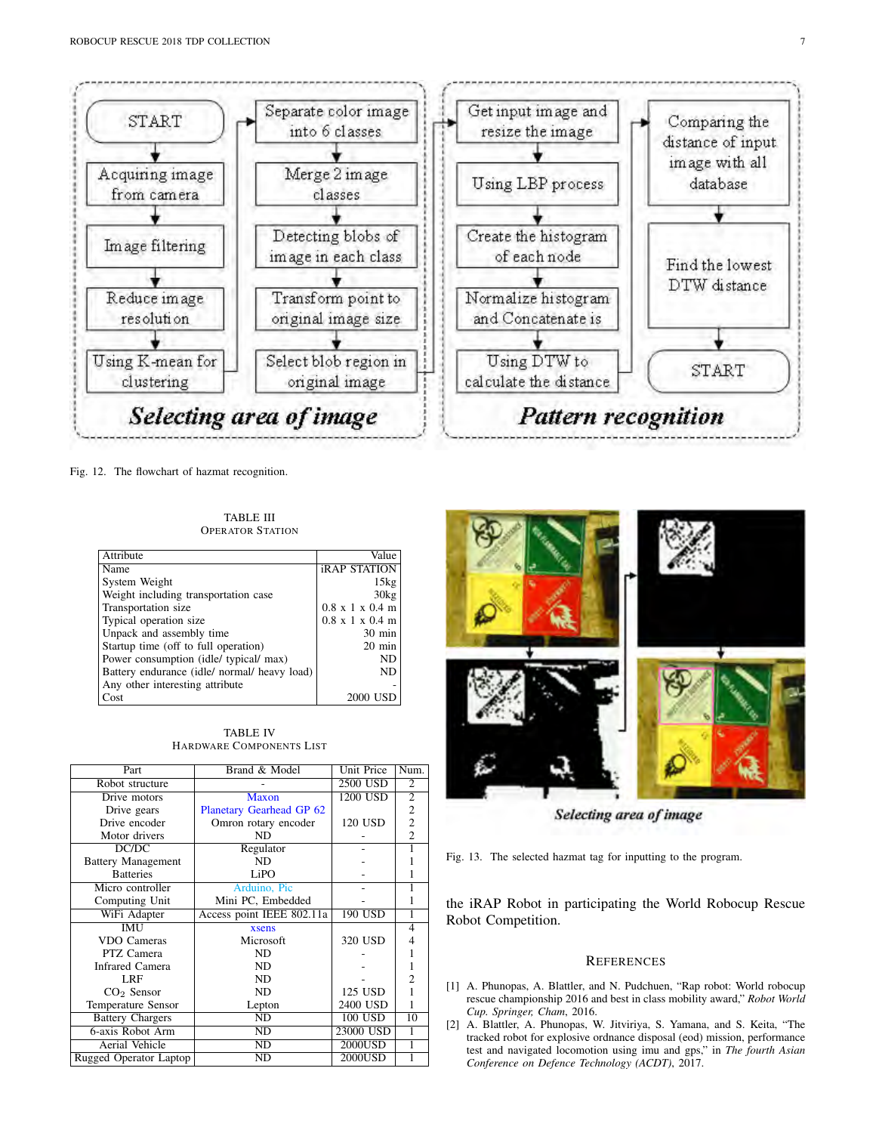

Fig. 12. The flowchart of hazmat recognition.

TABLE III OPERATOR STATION

| Attribute                                    | Value                               |
|----------------------------------------------|-------------------------------------|
| Name                                         | <b>iRAP STATION</b>                 |
| System Weight                                | 15kg                                |
| Weight including transportation case         | 30kg                                |
| Transportation size                          | $0.8$ x 1 x 0.4 m                   |
| Typical operation size                       | $0.8 \times 1 \times 0.4 \text{ m}$ |
| Unpack and assembly time                     | $30 \text{ min}$                    |
| Startup time (off to full operation)         | $20 \text{ min}$                    |
| Power consumption (idle/ typical/ max)       | ND                                  |
| Battery endurance (idle/ normal/ heavy load) | ND                                  |
| Any other interesting attribute              |                                     |
| Cost                                         | 2000 USD                            |

TABLE IV HARDWARE COMPONENTS LIST

| Part                      | Brand & Model             | <b>Unit Price</b> | Num.           |
|---------------------------|---------------------------|-------------------|----------------|
| Robot structure           |                           | 2500 USD          | $\overline{2}$ |
| Drive motors              | <b>Maxon</b>              | 1200 USD          | $\overline{2}$ |
| Drive gears               | Planetary Gearhead GP 62  |                   | $\overline{c}$ |
| Drive encoder             | Omron rotary encoder      | 120 USD           | $\overline{c}$ |
| Motor drivers             | ND                        |                   | $\overline{c}$ |
| DC/DC                     | Regulator                 |                   |                |
| <b>Battery Management</b> | ND.                       |                   |                |
| <b>Batteries</b>          | LiPO                      |                   |                |
| Micro controller          | Arduino, Pic              |                   |                |
| Computing Unit            | Mini PC, Embedded         |                   |                |
| WiFi Adapter              | Access point IEEE 802.11a | $190$ USD         |                |
| <b>IMU</b>                | xsens                     |                   | 4              |
| VDO Cameras               | Microsoft                 | 320 USD           | 4              |
| PTZ Camera                | ND.                       |                   |                |
| <b>Infrared Camera</b>    | ND                        |                   |                |
| LRF                       | ND                        |                   | $\overline{2}$ |
| $CO2$ Sensor              | ND                        | 125 USD           |                |
| <b>Temperature Sensor</b> | Lepton                    | 2400 USD          |                |
| <b>Battery Chargers</b>   | ND                        | 100 USD           | 10             |
| 6-axis Robot Arm          | ND                        | 23000 USD         |                |
| Aerial Vehicle            | ND                        | 2000USD           | 1              |
| Rugged Operator Laptop    | ND                        | 2000USD           |                |



Selecting area of image

Fig. 13. The selected hazmat tag for inputting to the program.

the iRAP Robot in participating the World Robocup Rescue Robot Competition.

#### **REFERENCES**

- [1] A. Phunopas, A. Blattler, and N. Pudchuen, "Rap robot: World robocup rescue championship 2016 and best in class mobility award," *Robot World Cup. Springer, Cham*, 2016.
- [2] A. Blattler, A. Phunopas, W. Jitviriya, S. Yamana, and S. Keita, "The tracked robot for explosive ordnance disposal (eod) mission, performance test and navigated locomotion using imu and gps," in *The fourth Asian Conference on Defence Technology (ACDT)*, 2017.